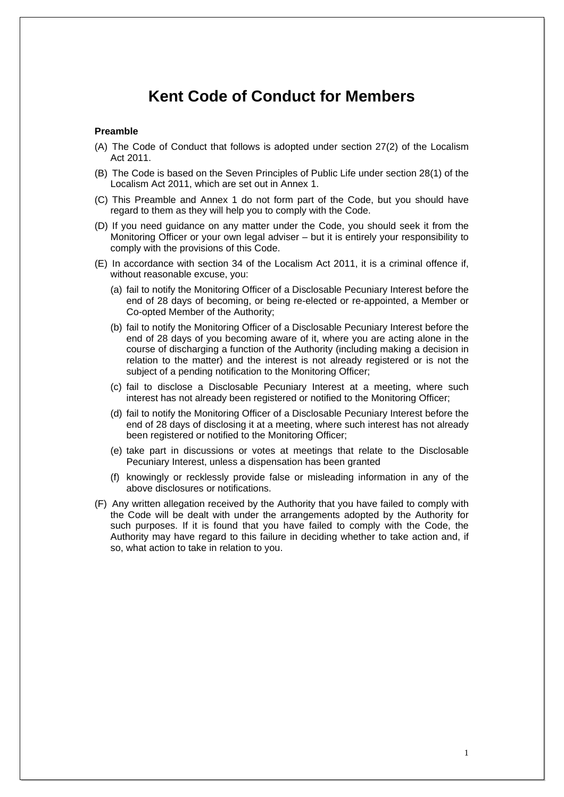# **Kent Code of Conduct for Members**

## **Preamble**

- (A) The Code of Conduct that follows is adopted under section 27(2) of the Localism Act 2011.
- (B) The Code is based on the Seven Principles of Public Life under section 28(1) of the Localism Act 2011, which are set out in Annex 1.
- (C) This Preamble and Annex 1 do not form part of the Code, but you should have regard to them as they will help you to comply with the Code.
- (D) If you need guidance on any matter under the Code, you should seek it from the Monitoring Officer or your own legal adviser – but it is entirely your responsibility to comply with the provisions of this Code.
- (E) In accordance with section 34 of the Localism Act 2011, it is a criminal offence if, without reasonable excuse, you:
	- (a) fail to notify the Monitoring Officer of a Disclosable Pecuniary Interest before the end of 28 days of becoming, or being re-elected or re-appointed, a Member or Co-opted Member of the Authority;
	- (b) fail to notify the Monitoring Officer of a Disclosable Pecuniary Interest before the end of 28 days of you becoming aware of it, where you are acting alone in the course of discharging a function of the Authority (including making a decision in relation to the matter) and the interest is not already registered or is not the subject of a pending notification to the Monitoring Officer;
	- (c) fail to disclose a Disclosable Pecuniary Interest at a meeting, where such interest has not already been registered or notified to the Monitoring Officer;
	- (d) fail to notify the Monitoring Officer of a Disclosable Pecuniary Interest before the end of 28 days of disclosing it at a meeting, where such interest has not already been registered or notified to the Monitoring Officer;
	- (e) take part in discussions or votes at meetings that relate to the Disclosable Pecuniary Interest, unless a dispensation has been granted
	- (f) knowingly or recklessly provide false or misleading information in any of the above disclosures or notifications.
- (F) Any written allegation received by the Authority that you have failed to comply with the Code will be dealt with under the arrangements adopted by the Authority for such purposes. If it is found that you have failed to comply with the Code, the Authority may have regard to this failure in deciding whether to take action and, if so, what action to take in relation to you.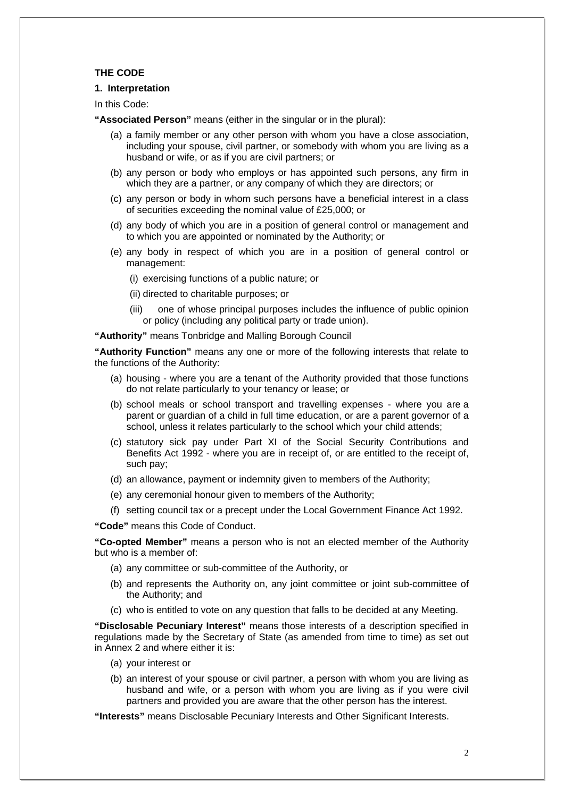## **THE CODE**

## **1. Interpretation**

In this Code:

**"Associated Person"** means (either in the singular or in the plural):

- (a) a family member or any other person with whom you have a close association, including your spouse, civil partner, or somebody with whom you are living as a husband or wife, or as if you are civil partners; or
- (b) any person or body who employs or has appointed such persons, any firm in which they are a partner, or any company of which they are directors; or
- (c) any person or body in whom such persons have a beneficial interest in a class of securities exceeding the nominal value of £25,000; or
- (d) any body of which you are in a position of general control or management and to which you are appointed or nominated by the Authority; or
- (e) any body in respect of which you are in a position of general control or management:
	- (i) exercising functions of a public nature; or
	- (ii) directed to charitable purposes; or
	- (iii) one of whose principal purposes includes the influence of public opinion or policy (including any political party or trade union).

**"Authority"** means Tonbridge and Malling Borough Council

**"Authority Function"** means any one or more of the following interests that relate to the functions of the Authority:

- (a) housing where you are a tenant of the Authority provided that those functions do not relate particularly to your tenancy or lease; or
- (b) school meals or school transport and travelling expenses where you are a parent or guardian of a child in full time education, or are a parent governor of a school, unless it relates particularly to the school which your child attends;
- (c) statutory sick pay under Part XI of the Social Security Contributions and Benefits Act 1992 - where you are in receipt of, or are entitled to the receipt of, such pay;
- (d) an allowance, payment or indemnity given to members of the Authority;
- (e) any ceremonial honour given to members of the Authority;
- (f) setting council tax or a precept under the Local Government Finance Act 1992.

**"Code"** means this Code of Conduct.

**"Co-opted Member"** means a person who is not an elected member of the Authority but who is a member of:

- (a) any committee or sub-committee of the Authority, or
- (b) and represents the Authority on, any joint committee or joint sub-committee of the Authority; and
- (c) who is entitled to vote on any question that falls to be decided at any Meeting.

**"Disclosable Pecuniary Interest"** means those interests of a description specified in regulations made by the Secretary of State (as amended from time to time) as set out in Annex 2 and where either it is:

- (a) your interest or
- (b) an interest of your spouse or civil partner, a person with whom you are living as husband and wife, or a person with whom you are living as if you were civil partners and provided you are aware that the other person has the interest.

**"Interests"** means Disclosable Pecuniary Interests and Other Significant Interests.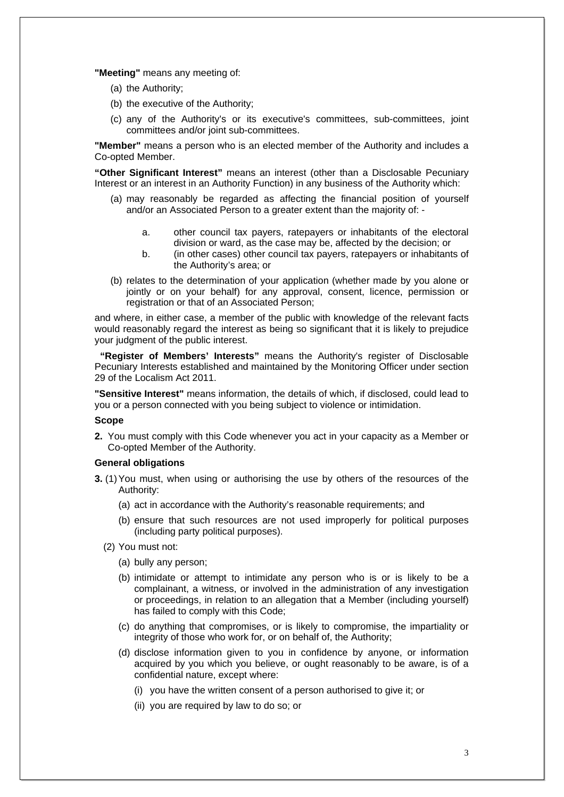**"Meeting"** means any meeting of:

- (a) the Authority;
- (b) the executive of the Authority;
- (c) any of the Authority's or its executive's committees, sub-committees, joint committees and/or joint sub-committees.

**"Member"** means a person who is an elected member of the Authority and includes a Co-opted Member.

**"Other Significant Interest"** means an interest (other than a Disclosable Pecuniary Interest or an interest in an Authority Function) in any business of the Authority which:

- (a) may reasonably be regarded as affecting the financial position of yourself and/or an Associated Person to a greater extent than the majority of:
	- a. other council tax payers, ratepayers or inhabitants of the electoral division or ward, as the case may be, affected by the decision; or
	- b. (in other cases) other council tax payers, ratepayers or inhabitants of the Authority's area; or
- (b) relates to the determination of your application (whether made by you alone or jointly or on your behalf) for any approval, consent, licence, permission or registration or that of an Associated Person;

and where, in either case, a member of the public with knowledge of the relevant facts would reasonably regard the interest as being so significant that it is likely to prejudice your judgment of the public interest.

 **"Register of Members' Interests"** means the Authority's register of Disclosable Pecuniary Interests established and maintained by the Monitoring Officer under section 29 of the Localism Act 2011.

**"Sensitive Interest"** means information, the details of which, if disclosed, could lead to you or a person connected with you being subject to violence or intimidation.

## **Scope**

**2.** You must comply with this Code whenever you act in your capacity as a Member or Co-opted Member of the Authority.

## **General obligations**

- **3.** (1)You must, when using or authorising the use by others of the resources of the Authority:
	- (a) act in accordance with the Authority's reasonable requirements; and
	- (b) ensure that such resources are not used improperly for political purposes (including party political purposes).
	- (2) You must not:
		- (a) bully any person;
		- (b) intimidate or attempt to intimidate any person who is or is likely to be a complainant, a witness, or involved in the administration of any investigation or proceedings, in relation to an allegation that a Member (including yourself) has failed to comply with this Code;
		- (c) do anything that compromises, or is likely to compromise, the impartiality or integrity of those who work for, or on behalf of, the Authority;
		- (d) disclose information given to you in confidence by anyone, or information acquired by you which you believe, or ought reasonably to be aware, is of a confidential nature, except where:
			- (i) you have the written consent of a person authorised to give it; or
			- (ii) you are required by law to do so; or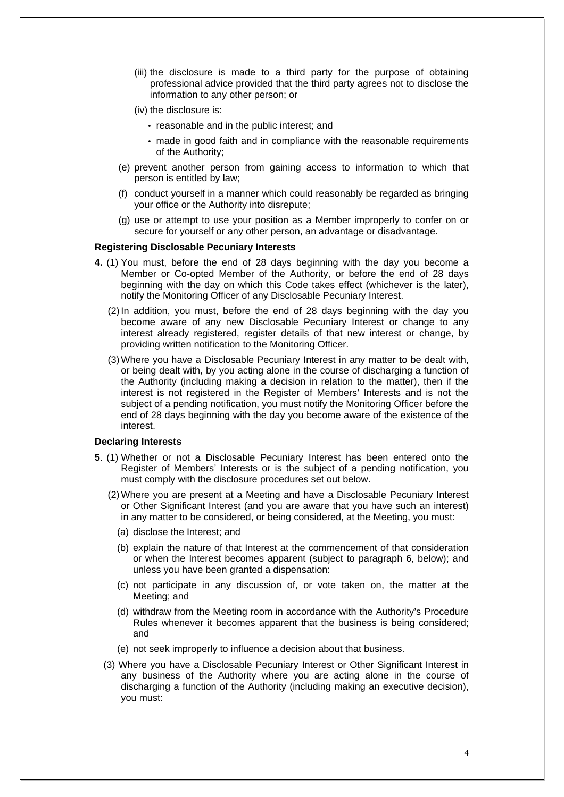- (iii) the disclosure is made to a third party for the purpose of obtaining professional advice provided that the third party agrees not to disclose the information to any other person; or
- (iv) the disclosure is:
	- reasonable and in the public interest; and
	- made in good faith and in compliance with the reasonable requirements of the Authority;
- (e) prevent another person from gaining access to information to which that person is entitled by law;
- (f) conduct yourself in a manner which could reasonably be regarded as bringing your office or the Authority into disrepute;
- (g) use or attempt to use your position as a Member improperly to confer on or secure for yourself or any other person, an advantage or disadvantage.

## **Registering Disclosable Pecuniary Interests**

- **4.** (1) You must, before the end of 28 days beginning with the day you become a Member or Co-opted Member of the Authority, or before the end of 28 days beginning with the day on which this Code takes effect (whichever is the later), notify the Monitoring Officer of any Disclosable Pecuniary Interest.
	- (2) In addition, you must, before the end of 28 days beginning with the day you become aware of any new Disclosable Pecuniary Interest or change to any interest already registered, register details of that new interest or change, by providing written notification to the Monitoring Officer.
	- (3) Where you have a Disclosable Pecuniary Interest in any matter to be dealt with, or being dealt with, by you acting alone in the course of discharging a function of the Authority (including making a decision in relation to the matter), then if the interest is not registered in the Register of Members' Interests and is not the subject of a pending notification, you must notify the Monitoring Officer before the end of 28 days beginning with the day you become aware of the existence of the interest.

## **Declaring Interests**

- **5**. (1) Whether or not a Disclosable Pecuniary Interest has been entered onto the Register of Members' Interests or is the subject of a pending notification, you must comply with the disclosure procedures set out below.
	- (2) Where you are present at a Meeting and have a Disclosable Pecuniary Interest or Other Significant Interest (and you are aware that you have such an interest) in any matter to be considered, or being considered, at the Meeting, you must:
		- (a) disclose the Interest; and
		- (b) explain the nature of that Interest at the commencement of that consideration or when the Interest becomes apparent (subject to paragraph 6, below); and unless you have been granted a dispensation:
		- (c) not participate in any discussion of, or vote taken on, the matter at the Meeting; and
		- (d) withdraw from the Meeting room in accordance with the Authority's Procedure Rules whenever it becomes apparent that the business is being considered; and
		- (e) not seek improperly to influence a decision about that business.
	- (3) Where you have a Disclosable Pecuniary Interest or Other Significant Interest in any business of the Authority where you are acting alone in the course of discharging a function of the Authority (including making an executive decision), you must: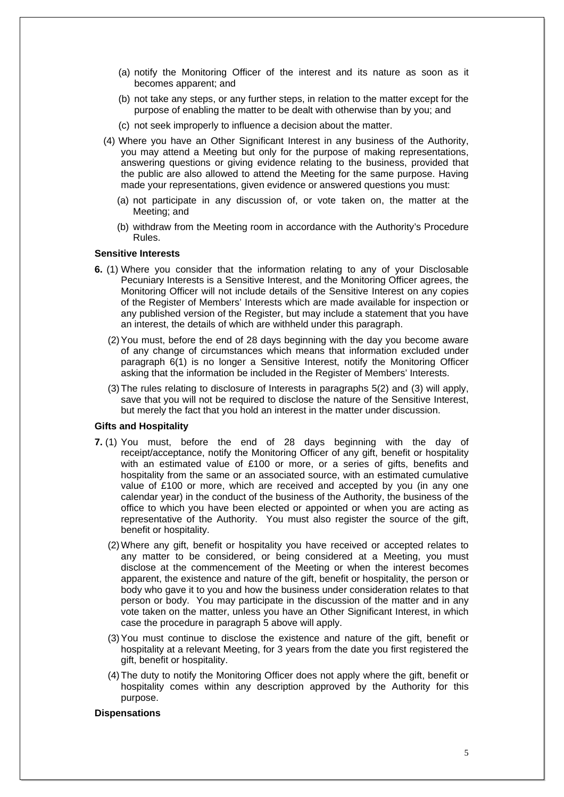- (a) notify the Monitoring Officer of the interest and its nature as soon as it becomes apparent; and
- (b) not take any steps, or any further steps, in relation to the matter except for the purpose of enabling the matter to be dealt with otherwise than by you; and
- (c) not seek improperly to influence a decision about the matter.
- (4) Where you have an Other Significant Interest in any business of the Authority, you may attend a Meeting but only for the purpose of making representations, answering questions or giving evidence relating to the business, provided that the public are also allowed to attend the Meeting for the same purpose. Having made your representations, given evidence or answered questions you must:
	- (a) not participate in any discussion of, or vote taken on, the matter at the Meeting; and
	- (b) withdraw from the Meeting room in accordance with the Authority's Procedure Rules.

## **Sensitive Interests**

- **6.** (1) Where you consider that the information relating to any of your Disclosable Pecuniary Interests is a Sensitive Interest, and the Monitoring Officer agrees, the Monitoring Officer will not include details of the Sensitive Interest on any copies of the Register of Members' Interests which are made available for inspection or any published version of the Register, but may include a statement that you have an interest, the details of which are withheld under this paragraph.
	- (2) You must, before the end of 28 days beginning with the day you become aware of any change of circumstances which means that information excluded under paragraph 6(1) is no longer a Sensitive Interest, notify the Monitoring Officer asking that the information be included in the Register of Members' Interests.
	- (3) The rules relating to disclosure of Interests in paragraphs 5(2) and (3) will apply, save that you will not be required to disclose the nature of the Sensitive Interest, but merely the fact that you hold an interest in the matter under discussion.

### **Gifts and Hospitality**

- **7.** (1) You must, before the end of 28 days beginning with the day of receipt/acceptance, notify the Monitoring Officer of any gift, benefit or hospitality with an estimated value of £100 or more, or a series of gifts, benefits and hospitality from the same or an associated source, with an estimated cumulative value of £100 or more, which are received and accepted by you (in any one calendar year) in the conduct of the business of the Authority, the business of the office to which you have been elected or appointed or when you are acting as representative of the Authority. You must also register the source of the gift, benefit or hospitality.
	- (2) Where any gift, benefit or hospitality you have received or accepted relates to any matter to be considered, or being considered at a Meeting, you must disclose at the commencement of the Meeting or when the interest becomes apparent, the existence and nature of the gift, benefit or hospitality, the person or body who gave it to you and how the business under consideration relates to that person or body. You may participate in the discussion of the matter and in any vote taken on the matter, unless you have an Other Significant Interest, in which case the procedure in paragraph 5 above will apply.
	- (3) You must continue to disclose the existence and nature of the gift, benefit or hospitality at a relevant Meeting, for 3 years from the date you first registered the gift, benefit or hospitality.
	- (4) The duty to notify the Monitoring Officer does not apply where the gift, benefit or hospitality comes within any description approved by the Authority for this purpose.

#### **Dispensations**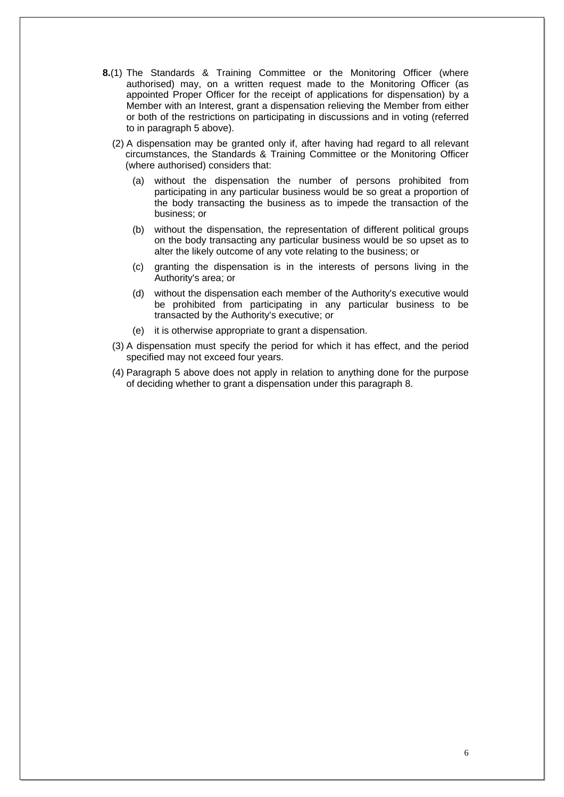- **8.**(1) The Standards & Training Committee or the Monitoring Officer (where authorised) may, on a written request made to the Monitoring Officer (as appointed Proper Officer for the receipt of applications for dispensation) by a Member with an Interest, grant a dispensation relieving the Member from either or both of the restrictions on participating in discussions and in voting (referred to in paragraph 5 above).
	- (2) A dispensation may be granted only if, after having had regard to all relevant circumstances, the Standards & Training Committee or the Monitoring Officer (where authorised) considers that:
		- (a) without the dispensation the number of persons prohibited from participating in any particular business would be so great a proportion of the body transacting the business as to impede the transaction of the business; or
		- (b) without the dispensation, the representation of different political groups on the body transacting any particular business would be so upset as to alter the likely outcome of any vote relating to the business; or
		- (c) granting the dispensation is in the interests of persons living in the Authority's area; or
		- (d) without the dispensation each member of the Authority's executive would be prohibited from participating in any particular business to be transacted by the Authority's executive; or
		- (e) it is otherwise appropriate to grant a dispensation.
	- (3) A dispensation must specify the period for which it has effect, and the period specified may not exceed four years.
	- (4) Paragraph 5 above does not apply in relation to anything done for the purpose of deciding whether to grant a dispensation under this paragraph 8.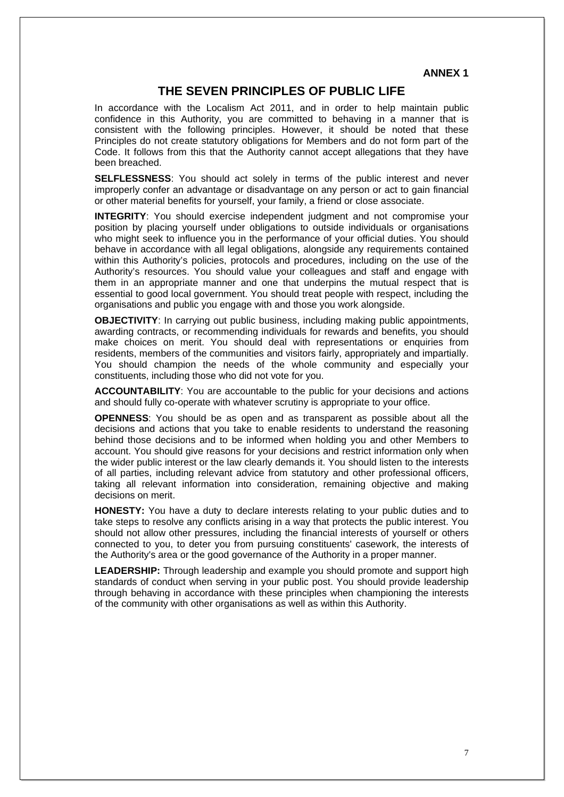**ANNEX 1**

## **THE SEVEN PRINCIPLES OF PUBLIC LIFE**

In accordance with the Localism Act 2011, and in order to help maintain public confidence in this Authority, you are committed to behaving in a manner that is consistent with the following principles. However, it should be noted that these Principles do not create statutory obligations for Members and do not form part of the Code. It follows from this that the Authority cannot accept allegations that they have been breached.

**SELFLESSNESS**: You should act solely in terms of the public interest and never improperly confer an advantage or disadvantage on any person or act to gain financial or other material benefits for yourself, your family, a friend or close associate.

**INTEGRITY:** You should exercise independent judgment and not compromise your position by placing yourself under obligations to outside individuals or organisations who might seek to influence you in the performance of your official duties. You should behave in accordance with all legal obligations, alongside any requirements contained within this Authority's policies, protocols and procedures, including on the use of the Authority's resources. You should value your colleagues and staff and engage with them in an appropriate manner and one that underpins the mutual respect that is essential to good local government. You should treat people with respect, including the organisations and public you engage with and those you work alongside.

**OBJECTIVITY:** In carrying out public business, including making public appointments, awarding contracts, or recommending individuals for rewards and benefits, you should make choices on merit. You should deal with representations or enquiries from residents, members of the communities and visitors fairly, appropriately and impartially. You should champion the needs of the whole community and especially your constituents, including those who did not vote for you.

**ACCOUNTABILITY**: You are accountable to the public for your decisions and actions and should fully co-operate with whatever scrutiny is appropriate to your office.

**OPENNESS**: You should be as open and as transparent as possible about all the decisions and actions that you take to enable residents to understand the reasoning behind those decisions and to be informed when holding you and other Members to account. You should give reasons for your decisions and restrict information only when the wider public interest or the law clearly demands it. You should listen to the interests of all parties, including relevant advice from statutory and other professional officers, taking all relevant information into consideration, remaining objective and making decisions on merit.

**HONESTY:** You have a duty to declare interests relating to your public duties and to take steps to resolve any conflicts arising in a way that protects the public interest. You should not allow other pressures, including the financial interests of yourself or others connected to you, to deter you from pursuing constituents' casework, the interests of the Authority's area or the good governance of the Authority in a proper manner.

**LEADERSHIP:** Through leadership and example you should promote and support high standards of conduct when serving in your public post. You should provide leadership through behaving in accordance with these principles when championing the interests of the community with other organisations as well as within this Authority.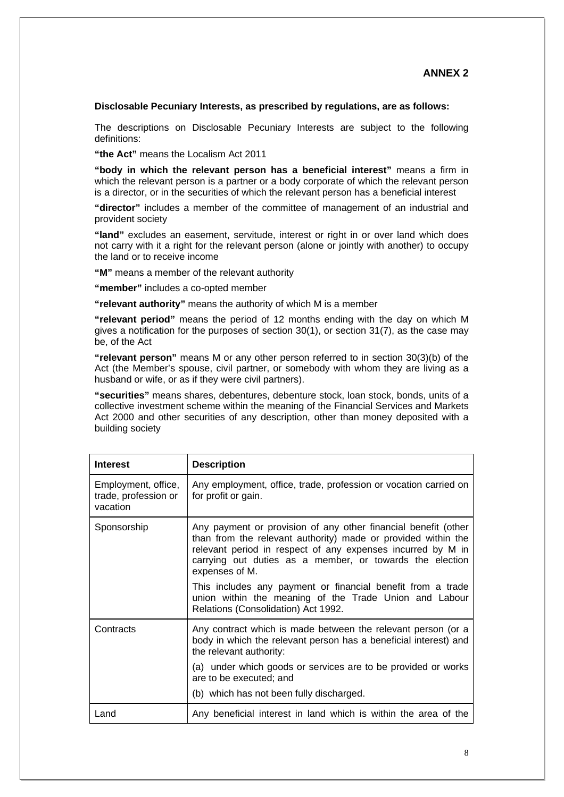## **Disclosable Pecuniary Interests, as prescribed by regulations, are as follows:**

The descriptions on Disclosable Pecuniary Interests are subject to the following definitions:

**"the Act"** means the Localism Act 2011

**"body in which the relevant person has a beneficial interest"** means a firm in which the relevant person is a partner or a body corporate of which the relevant person is a director, or in the securities of which the relevant person has a beneficial interest

**"director"** includes a member of the committee of management of an industrial and provident society

**"land"** excludes an easement, servitude, interest or right in or over land which does not carry with it a right for the relevant person (alone or jointly with another) to occupy the land or to receive income

**"M"** means a member of the relevant authority

**"member"** includes a co-opted member

**"relevant authority"** means the authority of which M is a member

**"relevant period"** means the period of 12 months ending with the day on which M gives a notification for the purposes of section 30(1), or section 31(7), as the case may be, of the Act

**"relevant person"** means M or any other person referred to in section 30(3)(b) of the Act (the Member's spouse, civil partner, or somebody with whom they are living as a husband or wife, or as if they were civil partners).

**"securities"** means shares, debentures, debenture stock, loan stock, bonds, units of a collective investment scheme within the meaning of the Financial Services and Markets Act 2000 and other securities of any description, other than money deposited with a building society

| <b>Interest</b>                                         | <b>Description</b>                                                                                                                                                                                                                                                           |
|---------------------------------------------------------|------------------------------------------------------------------------------------------------------------------------------------------------------------------------------------------------------------------------------------------------------------------------------|
| Employment, office,<br>trade, profession or<br>vacation | Any employment, office, trade, profession or vocation carried on<br>for profit or gain.                                                                                                                                                                                      |
| Sponsorship                                             | Any payment or provision of any other financial benefit (other<br>than from the relevant authority) made or provided within the<br>relevant period in respect of any expenses incurred by M in<br>carrying out duties as a member, or towards the election<br>expenses of M. |
|                                                         | This includes any payment or financial benefit from a trade<br>union within the meaning of the Trade Union and Labour<br>Relations (Consolidation) Act 1992.                                                                                                                 |
| Contracts                                               | Any contract which is made between the relevant person (or a<br>body in which the relevant person has a beneficial interest) and<br>the relevant authority:                                                                                                                  |
|                                                         | (a) under which goods or services are to be provided or works<br>are to be executed; and                                                                                                                                                                                     |
|                                                         | (b) which has not been fully discharged.                                                                                                                                                                                                                                     |
| Land                                                    | Any beneficial interest in land which is within the area of the                                                                                                                                                                                                              |